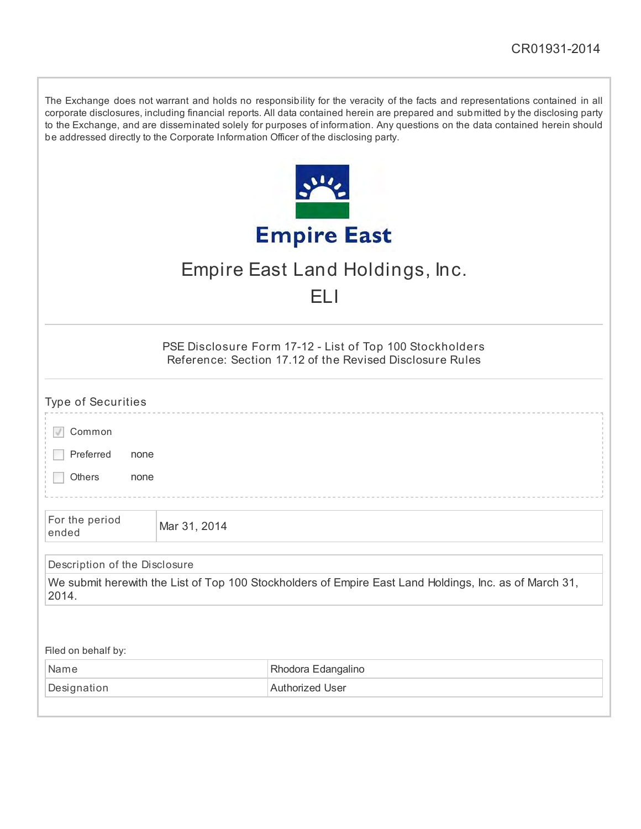| The Exchange does not warrant and holds no responsibility for the veracity of the facts and representations contained in all     |
|----------------------------------------------------------------------------------------------------------------------------------|
| corporate disclosures, including financial reports. All data contained herein are prepared and submitted by the disclosing party |
| to the Exchange, and are disseminated solely for purposes of information. Any questions on the data contained herein should      |
| be addressed directly to the Corporate Information Officer of the disclosing party.                                              |

|                    | 111 |  |
|--------------------|-----|--|
|                    |     |  |
| <b>Empire East</b> |     |  |

# Empire East Land Holdings, Inc.

## ELI

PSE Disclosure Form 17-12 - List of Top 100 Stockholders Reference: Section 17.12 of the Revised Disclosure Rules

| <b>Type of Securities</b>     |              |                                                                                                        |
|-------------------------------|--------------|--------------------------------------------------------------------------------------------------------|
| Common                        |              |                                                                                                        |
| Preferred<br>none             |              |                                                                                                        |
| Others<br>none                |              |                                                                                                        |
|                               |              |                                                                                                        |
| For the period<br>ended       | Mar 31, 2014 |                                                                                                        |
| Description of the Disclosure |              |                                                                                                        |
| 2014.                         |              | We submit herewith the List of Top 100 Stockholders of Empire East Land Holdings, Inc. as of March 31, |
|                               |              |                                                                                                        |
| Filed on behalf by:           |              |                                                                                                        |
| Name                          |              | Rhodora Edangalino                                                                                     |
| Designation                   |              | <b>Authorized User</b>                                                                                 |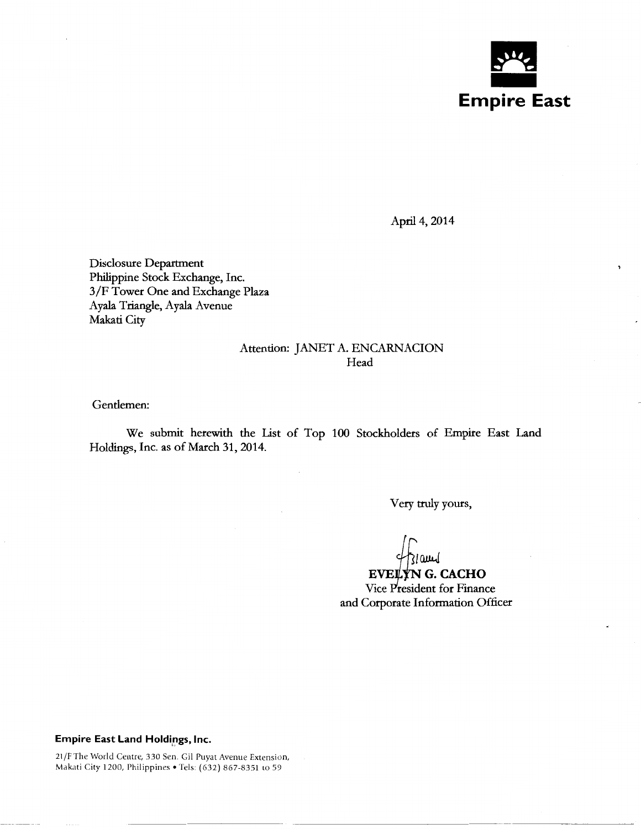

April 4, 2014

Disclosure Department Philippine Stock Exchange, Inc. 3/F Tower One and Exchange Plaza Ayala Triangle, Ayala Avenue Makati City

#### Attention: JANET A. ENCARNACION Head

Gendemen:

We submit herewith the List of Top 100 Stockholders of Empire East Land Holdings, Inc. as of March 31, 2014.

Very truly yours,

EVELYN G. CACHO Vice President for Finance and Corporate Information Officer

#### **Empire East Land Holdings, Inc.**

21 /F The World Centre, 330 Sen. Gil Puyat Avenue Extension, Makati City 1200, Philippines • Tels: (632) 867-8351 to 59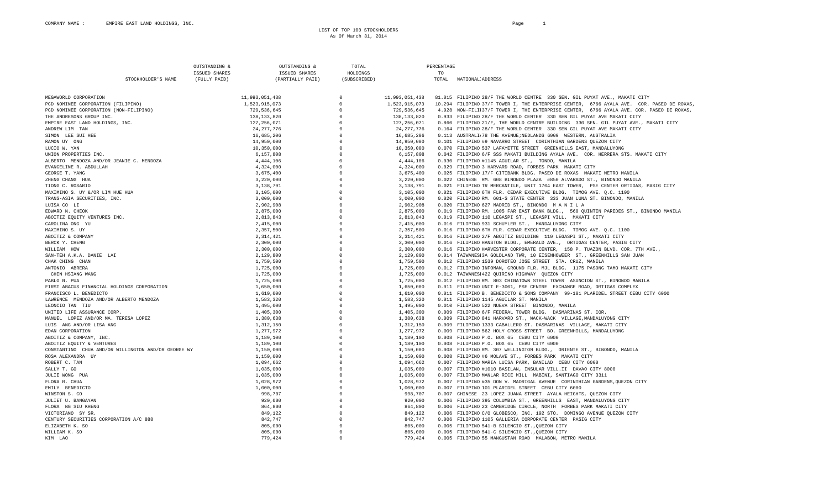LIST OF TOP 100 STOCKHOLDERS As Of March 31, 2014

|                                                     | OUTSTANDING & | OUTSTANDING &        | TOTAL                |                | PERCENTAGE |                                                                                           |
|-----------------------------------------------------|---------------|----------------------|----------------------|----------------|------------|-------------------------------------------------------------------------------------------|
|                                                     | ISSUED SHARES | <b>ISSUED SHARES</b> | HOLDINGS             |                | TO         |                                                                                           |
| STOCKHOLDER'S NAME                                  | (FULLY PAID)  | (PARTIALLY PAID)     | (SUBSCRIBED)         |                | TOTAL      | NATIONAL ADDRESS                                                                          |
|                                                     |               |                      |                      |                |            |                                                                                           |
| MEGAWORLD CORPORATION                               |               | 11.993.051.438       | $\Omega$             | 11,993,051,438 |            | 81.015 FILIPINO 28/F THE WORLD CENTRE 330 SEN. GIL PUYAT AVE., MAKATI CITY                |
| PCD NOMINEE CORPORATION (FILIPINO)                  |               | 1,523,915,073        | $\Omega$             | 1,523,915,073  |            | 10.294 FILIPINO 37/F TOWER I, THE ENTERPRISE CENTER, 6766 AYALA AVE. COR. PASEO DE ROXAS, |
| PCD NOMINEE CORPORATION (NON-FILIPINO)              |               | 729, 536, 645        | $\Omega$             | 729.536.645    |            | 4.928 NON-FILI137/F TOWER I, THE ENTERPRISE CENTER, 6766 AYALA AVE. COR. PASEO DE ROXAS,  |
| THE ANDRESONS GROUP INC.                            |               | 138, 133, 820        | $\Omega$             | 138, 133, 820  |            | 0.933 FILIPINO 28/F THE WORLD CENTER 330 SEN GIL PUYAT AVE MAKATI CITY                    |
| EMPIRE EAST LAND HOLDINGS. INC.                     |               | 127, 256, 071        | $\Omega$             | 127.256.071    |            | 0.860 FILIPINO 21/F, THE WORLD CENTRE BUILDING 330 SEN. GIL PUYAT AVE., MAKATI CITY       |
| ANDREW LIM TAN                                      |               | 24, 277, 776         | $\Omega$             | 24, 277, 776   |            | 0.164 FILIPINO 28/F THE WORLD CENTER 330 SEN GIL PUYAT AVE MAKATI CITY                    |
|                                                     |               |                      | $\Omega$             |                |            |                                                                                           |
| SIMON LEE SUI HEE                                   |               | 16,685,206           | $\Omega$             | 16,685,206     |            | 0.113 AUSTRALI78 THE AVENUE; NEDLANDS 6009 WESTERN, AUSTRALIA                             |
| RAMON UY ONG                                        |               | 14,950,000           | $\Omega$             | 14,950,000     |            | 0.101 FILIPINO #9 NAVARRO STREET CORINTHIAN GARDENS QUEZON CITY                           |
| LUCIO W. YAN                                        |               | 10,350,000           |                      | 10,350,000     |            | 0.070 FILIPINO 537 LAFAYETTE STREET GREENHILLS EAST, MANDALUYONG                          |
| UNION PROPERTIES INC.                               |               | 6,157,808            | $\Omega$<br>$\Omega$ | 6,157,808      |            | 0.042 FILIPINO 6/F SSS MAKATI BUILDING AYALA AVE. COR. HERRERA STS. MAKATI CITY           |
| ALBERTO MENDOZA AND/OR JEANIE C. MENDOZA            |               | 4, 444, 106          |                      | 4, 444, 106    |            | 0.030 FILIPINO #1145 AGUILAR ST., TONDO, MANILA                                           |
| EVANGELINE R. ABDULLAH                              |               | 4,324,000            | $\Omega$             | 4,324,000      |            | 0.029 FILIPINO 3 HARVARD ROAD, FORBES PARK MAKATI CITY                                    |
| GEORGE T. YANG                                      |               | 3,675,400            | $\Omega$             | 3,675,400      |            | 0.025 FILIPINO 17/F CITIBANK BLDG. PASEO DE ROXAS MAKATI METRO MANILA                     |
| ZHENG CHANG HUA                                     |               | 3,220,000            | $\Omega$             | 3,220,000      |            | 0.022 CHINESE RM. 608 BINONDO PLAZA #850 ALVARADO ST., BINONDO MANILA                     |
| TIONG C. ROSARIO                                    |               | 3,138,791            | $\Omega$             | 3.138.791      |            | 0.021 FILIPINO TR MERCANTILE, UNIT 1704 EAST TOWER, PSE CENTER ORTIGAS, PASIG CITY        |
| MAXIMINO S. UY &/OR LIM HUE HUA                     |               | 3,105,000            | $\Omega$             | 3,105,000      |            | 0.021 FILIPINO 6TH FLR. CEDAR EXECUTIVE BLDG. TIMOG AVE. Q.C. 1100                        |
| TRANS-ASIA SECURITIES, INC.                         |               | 3,000,000            | $\Omega$             | 3,000,000      |            | 0.020 FILIPINO RM. 601-S STATE CENTER 333 JUAN LUNA ST. BINONDO, MANILA                   |
| LUISA CO LI                                         |               | 2,902,908            | $\Omega$             | 2,902,908      |            | 0.020 FILIPINO 627 MADRID ST., BINONDO MANILA                                             |
| EDWARD N. CHEOK                                     |               | 2,875,000            | $\Omega$             | 2,875,000      |            | 0.019 FILIPINO RM. 1005 FAR EAST BANK BLDG., 560 QUINTIN PAREDES ST., BINONDO MANILA      |
| ABOITIZ EQUITY VENTURES INC.                        |               | 2,813,843            | $\Omega$             | 2,813,843      |            | 0.019 FILIPINO 110 LEGASPI ST., LEGASPI VILL. MAKATI CITY                                 |
| CAROLINA ONG YU                                     |               | 2,415,000            | $\Omega$             | 2.415.000      |            | 0.016 FILIPINO 931 SCHUYLER ST., MANDALUYONG CITY                                         |
| MAXIMINO S. UY                                      |               | 2,357,500            | $\Omega$             | 2,357,500      |            | 0.016 FILIPINO 6TH FLR. CEDAR EXECUTIVE BLDG. TIMOG AVE. O.C. 1100                        |
| ABOITIZ & COMPANY                                   |               | 2,314,421            | $\Omega$             | 2,314,421      |            | 0.016 FILIPINO 2/F ABOITIZ BUILDING 110 LEGASPI ST., MAKATI CITY                          |
| BERCK Y. CHENG                                      |               | 2,300,000            | $\Omega$             | 2,300,000      |            | 0.016 FILIPINO HANSTON BLDG., EMERALD AVE., ORTIGAS CENTER, PASIG CITY                    |
| WILLIAM HOW                                         |               | 2,300,000            | $\Omega$             | 2,300,000      |            | 0.016 FILIPINO HARVESTER CORPORATE CENTER, 158 P. TUAZON BLVD. COR. 7TH AVE.,             |
| SAN-TEH A.K.A. DANIE LAI                            |               | 2,129,800            | $\Omega$             | 2,129,800      |            | 0.014 TAIWANES13A GOLDLAND TWR, 10 EISENHOWEER ST., GREENHILLS SAN JUAN                   |
| CHAK CHING CHAN                                     |               | 1,759,500            | $\Omega$             | 1,759,500      |            | 0.012 FILIPINO 1539 DOROTEO JOSE STREET STA. CRUZ, MANILA                                 |
| ANTONIO ABRERA                                      |               | 1,725,000            | $\Omega$             | 1,725,000      |            | 0.012 FILIPINO INFOMAN, GROUND FLR. MJL BLDG. 1175 PASONG TAMO MAKATI CITY                |
| CHIN HSIANG WANG                                    |               | 1,725,000            | $\Omega$             | 1,725,000      |            | 0.012 TAIWANES1422 OUIRINO HIGHWAY QUEZON CITY                                            |
| PABLO N. PUA                                        |               | 1,725,000            | $\Omega$             | 1,725,000      |            | 0.012 FILIPINO RM. 803 CHINATOWN STEEL TOWER ASUNCION ST., BINONDO MANILA                 |
| FIRST ABACUS FINANCIAL HOLDINGS CORPORATION         |               | 1,650,000            | $\Omega$             | 1,650,000      |            | 0.011 FILIPINO UNIT E-3001, PSE CENTRE EXCHANGE ROAD, ORTIGAS COMPLEX                     |
| FRANCISCO L. BENEDICTO                              |               | 1,610,000            | $\Omega$             | 1,610,000      |            | 0.011 FILIPINO B. BENEDICTO & SONS COMPANY 99-101 PLARIDEL STREET CEBU CITY 6000          |
| LAWRENCE MENDOZA AND/OR ALBERTO MENDOZA             |               | 1,583,320            | $\Omega$             | 1,583,320      |            | 0.011 FILIPINO 1145 AGUILAR ST. MANILA                                                    |
| LEONCIO TAN TIU                                     |               | 1,495,000            | $\Omega$             | 1,495,000      |            | 0.010 FILIPINO 522 NUEVA STREET BINONDO, MANILA                                           |
| UNITED LIFE ASSURANCE CORP.                         |               | 1,405,300            | $\Omega$             | 1,405,300      |            | 0.009 FILIPINO 6/F FEDERAL TOWER BLDG. DASMARINAS ST. COR.                                |
| MANUEL LOPEZ AND/OR MA. TERESA LOPEZ                |               | 1,380,638            | $\Omega$             | 1,380,638      |            | 0.009 FILIPINO 841 HARVARD ST., WACK-WACK VILLAGE, MANDALUYONG CITY                       |
| LUIS ANG AND/OR LISA ANG                            |               | 1,312,150            | $\Omega$             | 1,312,150      |            | 0.009 FILIPINO 1333 CABALLERO ST. DASMARINAS VILLAGE, MAKATI CITY                         |
| EDAN CORPORATION                                    |               | 1,277,972            | $\Omega$             | 1,277,972      |            | 0.009 FILIPINO 562 HOLY CROSS STREET BO. GREENHILLS, MANDALUYONG                          |
| ABOITIZ & COMPANY, INC.                             |               | 1,189,100            | $\Omega$             | 1,189,100      |            | 0.008 FILIPINO P.O. BOX 65 CEBU CITY 6000                                                 |
| ABOITIZ EQUITY & VENTURES                           |               | 1,189,100            | $\Omega$             | 1,189,100      |            | 0.008 FILIPINO P.O. BOX 65 CEBU CITY 6000                                                 |
| CONSTANTINO CHUA AND/OR WILLINGTON AND/OR GEORGE WY |               | 1,150,000            | $\Omega$             | 1,150,000      |            | 0.008 FILIPINO RM. 307 WELLINGTON BLDG., ORIENTE ST., BINONDO, MANILA                     |
| ROSA ALEXANDRA UY                                   |               | 1,150,000            | $\Omega$             | 1,150,000      |            | 0.008 FILIPINO #6 MOLAVE ST., FORBES PARK MAKATI CITY                                     |
| ROBERT C. TAN                                       |               | 1,094,662            | $\Omega$             | 1,094,662      |            | 0.007 FILIPINO MARIA LUISA PARK, BANILAD CEBU CITY 6000                                   |
| SALLY T. GO                                         |               | 1,035,000            | $\Omega$             | 1,035,000      |            | 0.007 FILIPINO #1010 BASILAN, INSULAR VILL.II DAVAO CITY 8000                             |
| JULIE WONG PUA                                      |               | 1,035,000            | $\Omega$             | 1,035,000      |            | 0.007 FILIPINO MANLAR RICE MILL MABINI, SANTIAGO CITY 3311                                |
|                                                     |               | 1,028,972            | $\Omega$             | 1,028,972      |            | 0.007 FILIPINO #35 DON V. MADRIGAL AVENUE CORINTHIAN GARDENS, QUEZON CITY                 |
| FLORA B. CHUA<br>EMILY BENEDICTO                    |               | 1,000,000            | $\Omega$             | 1,000,000      |            | 0.007 FILIPINO 101 PLARIDEL STREET CEBU CITY 6000                                         |
|                                                     |               |                      |                      |                |            |                                                                                           |
| WINSTON S. CO                                       |               | 998,707              | $\Omega$             | 998,707        |            | 0.007 CHINESE 23 LOPEZ JUANA STREET AYALA HEIGHTS, QUEZON CITY                            |
| JULIET U. BANGAYAN                                  |               | 920,000              | $\Omega$             | 920,000        |            | 0.006 FILIPINO 395 COLUMBIA ST., GREENHILLS EAST, MANDALUYONG CITY                        |
| FLORA NG SIU KHENG                                  |               | 864,800              | $\Omega$             | 864,800        |            | 0.006 FILIPINO 23 CAMBRIDGE CIRCLE, NORTH FORBES PARK MAKATI CITY                         |
| VICTORIANO SY SR.                                   |               | 849,122              | $\Omega$             | 849,122        |            | 0.006 FILIPINO C/O GLOBESCO, INC. 192 STO. DOMINGO AVENUE QUEZON CITY                     |
| CENTURY SECURITIES CORPORATION A/C 888              |               | 842,747              |                      | 842,747        |            | 0.006 FILIPINO 1105 GALLERIA CORPORATE CENTER PASIG CITY                                  |
| ELIZABETH K. SO                                     |               | 805,000              | $\Omega$             | 805,000        |            | 0.005 FILIPINO 541-B SILENCIO ST., QUEZON CITY                                            |
| WILLIAM K. SO                                       |               | 805,000              | $\Omega$             | 805,000        |            | 0.005 FILIPINO 541-C SILENCIO ST., QUEZON CITY                                            |
| KIM LAO                                             |               | 779.424              | $\Omega$             | 779.424        |            | 0.005 FILIPINO 55 MANGUSTAN ROAD MALABON, METRO MANILA                                    |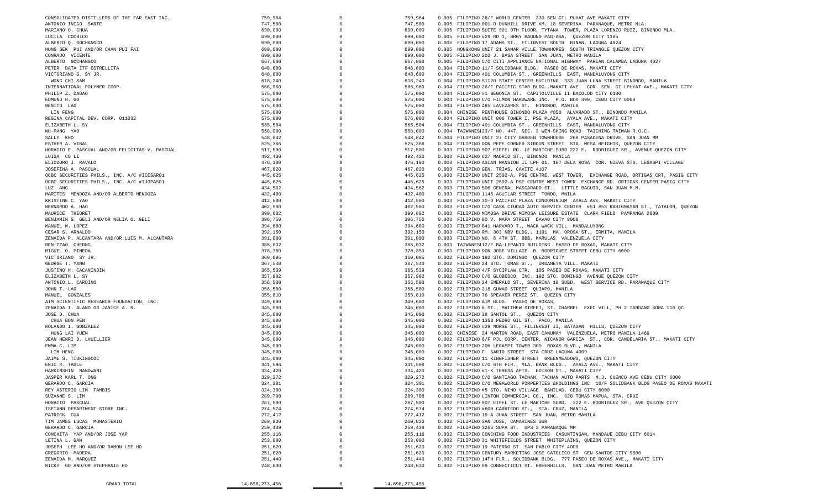| GRAND TOTAL                                                                              | 14,698,273,456     |                      | 14,698,273,456     |                                                                                                                                                           |
|------------------------------------------------------------------------------------------|--------------------|----------------------|--------------------|-----------------------------------------------------------------------------------------------------------------------------------------------------------|
|                                                                                          |                    |                      |                    |                                                                                                                                                           |
|                                                                                          |                    |                      |                    |                                                                                                                                                           |
| RICKY GO AND/OR STEPHANIE GO                                                             | 248,630            | $\Omega$             | 248,630            | 0.002 FILIPINO 69 CONNECTICUT ST. GREENHILLS, SAN JUAN METRO MANILA                                                                                       |
| GREGORIO MADERA<br>ZENAIDA M. MARQUEZ                                                    | 251,620<br>251,440 |                      | 251,620<br>251,440 | 0.002 FILIPINO CENTURY MARKETING JOSE CATOLICO ST GEN SANTOS CITY 9500<br>0.002 FILIPINO 14TH FLR., SOLIDBANK BLDG. 777 PASEO DE ROXAS AVE., MAKATI CITY  |
|                                                                                          | 251,620            |                      | 251,620            | 0.002 FILIPINO 19 PATERNO ST SAN PABLO CITY 4000                                                                                                          |
| LETINA L. GAW<br>JOSEPH LEE HO AND/OR RAMON LEE HO                                       | 253,000            |                      | 253,000            | 0.002 FILIPINO 31 WHITEFIELDS STREET WHITEPLAINS, QUEZON CITY                                                                                             |
| CONCHITA YAP AND/OR JOSE YAP                                                             | 255,116            |                      | 255,116            | 0.002 FILIPINO CONCHING FOOD INDUSTRIES CASUNTINGAN, MANDAUE CEBU CITY 6014                                                                               |
| GERARDO C. GARCIA                                                                        | 259,439            |                      | 259,439            | 0.002 FILIPINO 3266 SUPA ST. UPS 2 PARANAQUE MM                                                                                                           |
| TIM JAMES LUCAS MONASTERIO                                                               | 260,820            |                      | 260,820            | 0.002 FILIPINO SAN JOSE, CAMARINES SUR                                                                                                                    |
| PATRICK CUA                                                                              | 272,412            |                      | 272,412            | 0.002 FILIPINO 19-A JUAN STREET SAN JUAN, METRO MANILA                                                                                                    |
| ISETANN DEPARTMENT STORE INC.                                                            | 274,574            |                      | 274,574            | 0.002 FILIPINO #600 CARRIEDO ST., STA. CRUZ, MANILA                                                                                                       |
| HORACIO PASCUAL                                                                          | 287,500            |                      | 287,500            | 0.002 FILIPINO 907 EIFEL ST. LE MARICHE SUBD. 222 E. RODRIGUEZ SR., AVE QUEZON CITY                                                                       |
| SUZANNE S. LIM                                                                           | 289,708            | $\Omega$             | 289,708            | 0.002 FILIPINO LINTON COMMERCIAL CO., INC. 628 TOMAS MAPUA, STA. CRUZ                                                                                     |
| REY ASTERIO LIM TAMBIS                                                                   | 324,300            | $\Omega$             | 324,300            | 0.002 FILIPINO #5 STO. NINO VILLAGE BANILAD, CEBU CITY 6000                                                                                               |
| GERARDO C. GARCIA                                                                        | 324,301            |                      | 324,301            | 0.002 FILIPINO C/O MEGAWORLD PORPERTIES & HOLDINGS INC 16/F SOLIDBANK BLDG PASEO DE ROXAS MAKATI                                                          |
| JASPER KARL T. ONG                                                                       | 329,272            | $\Omega$             | 329,272            | 0.002 FILIPINO C/O SANTIAGO TACHAN, TACHAN AUTO PARTS M.J. CUENCO AVE CEBU CITY 6000                                                                      |
| HARKINSHIN NANDWANI                                                                      | 334,420            |                      | 334,420            | 0.002 FILIPINO #1-K TERESA APTS. EDISON ST., MAKATI CITY                                                                                                  |
| ERIC R. TAGLE                                                                            | 341,596            |                      | 341,596            | 0.002 FILIPINO C/O 6TH FLR., MLA. BANK BLDG., AYALA AVE., MAKATI CITY                                                                                     |
| JAIME S. TIUKINGCOC                                                                      | 345,000            |                      | 345,000            | 0.002 FILIPINO 11 KINGFISHER STREET GREENMEADOWS, QUEZON CITY                                                                                             |
| LIM HENG                                                                                 | 345,000            |                      | 345,000            | 0.002 FILIPINO F. SARIO STREET STA CRUZ LAGUNA 4009                                                                                                       |
| EMMA C. LIM                                                                              | 345,000            |                      | 345,000            | 0.002 FILIPINO 20H LEGASPI TOWER 300 ROXAS BLVD., MANILA                                                                                                  |
| JEAN HENRI D. LHUILLIER                                                                  | 345,000            | $\Omega$             | 345,000            | 0.002 FILIPINO 6/F PJL CORP. CENTER, NICANOR GARCIA ST., COR. CANDELARIA ST., MAKATI CITY                                                                 |
| HUNG LAI YUEN                                                                            | 345,000            | $\Omega$             | 345,000            | 0.002 CHINESE 24 MARTON ROAD, EAST CANUMAY VALENZUELA, METRO MANILA 1469                                                                                  |
| ROLANDO I. GONZALEZ                                                                      | 345,000            |                      | 345,000            | 0.002 FILIPINO #29 MORSE ST., FILINVEST II, BATASAN HILLS, QUEZON CITY                                                                                    |
| CHUA BON PEN                                                                             | 345,000            |                      | 345,000            | 0.002 FILIPINO 1363 PEDRO GIL ST. PACO, MANILA                                                                                                            |
| JOSE D. CHUA                                                                             | 345,000            |                      | 345,000            | 0.002 FILIPINO 38 SANTOL ST., QUEZON CITY                                                                                                                 |
| ZENAIDA I. ALANO OR JANICE A. R.                                                         | 345,000            | $\Omega$             | 345,000            | 0.002 FILIPINO 6 ST., MATTHEW STREET, ST. CHARBEL EXEC VILL, PH 2 TANDANG SORA 116 QC                                                                     |
| AIM SCIENTIFIC RESEARCH FOUNDATION, INC.                                                 | 349,600            | $\Omega$             | 349,600            | 0.002 FILIPINO AIM BLDG. PASEO DE ROXAS,                                                                                                                  |
| MANUEL GONZALES                                                                          | 355,810            | $\Omega$             | 355,810            | 0.002 FILIPINO 76 SPEAKER PEREZ ST. QUEZON CITY                                                                                                           |
| JOHN T. LAO                                                                              | 356,500            | $\Omega$             | 356,500            | 0.002 FILIPINO 318 GUNAO STREET QUIAPO, MANILA                                                                                                            |
| ANTONIO L. CARDINO                                                                       | 356,500            | $\Omega$             | 356,500            | 0.002 FILIPINO 24 EMERALD ST., SEVERINA 18 SUBD. WEST SERVICE RD. PARANAQUE CITY                                                                          |
| ELIZABETH L. SY                                                                          | 357,902            |                      | 357,902            | 0.002 FILIPINO C/O GLOBESCO, INC. 192 STO. DOMINGO AVENUE QUEZON CITY                                                                                     |
| JUSTINO H. CACANINDIN                                                                    | 365,539            |                      | 365,539            | 0.002 FILIPINO 4/F SYCIPLAW CTR. 105 PASEO DE ROXAS, MAKATI CITY                                                                                          |
| VICTORIANO SY JR.<br>GEORGE T. YANG                                                      | 369,095<br>367,540 | $\Omega$             | 367,540            | 0.002 FILIPINO 192 STO. DOMINGO QUEZON CITY<br>0.002 FILIPINO 24 STO. TOMAS ST., URDANETA VILL. MAKATI                                                    |
|                                                                                          | 378,350            | $\Omega$             | 378,350<br>369,095 | 0.003 FILIPINO DON JOSE VILLAGE B. RODRIGUEZ STREET CEBU CITY 6000                                                                                        |
| BEN-TZAO CHERNG<br>MIGUEL O. PINEDA                                                      | 386,032            | $\Omega$             | 386,032            | 0.003 TAIWANES112/F BA-LEPANTO BUILDING PASEO DE ROXAS, MAKATI CITY                                                                                       |
| ZENAIDA P. ALCANTARA AND/OR LUIS M. ALCANTARA                                            | 391,000            | $\Omega$             | 391,000            | 0.003 FILIPINO NO. 6 4TH ST, BBB, MARULAS VALENZUELA CITY                                                                                                 |
| CESAR S. ARNALDO                                                                         | 392,150            | $\Omega$             | 392,150            | 0.003 FILIPINO RM. 303 NBV BLDG., 1191 MA. OROSA ST., ERMITA, MANILA                                                                                      |
| MANUEL M. LOPEZ                                                                          | 394,680            | $\Omega$             | 394,680            | 0.003 FILIPINO 841 HARVARD T., WACK WACK VILL MANDALUYONG                                                                                                 |
| BENJAMIN S. GELI AND/OR NELIA O. GELI                                                    | 396,750            |                      | 396,750            | 0.003 FILIPINO 80 V. MAPA STREET DAVAO CITY 8000                                                                                                          |
| MAURICE THEORET                                                                          | 399,682            |                      | 399,682            | 0.003 FILIPINO MIMOSA DRIVE MIMOSA LEISURE ESTATE CLARK FIELD PAMPANGA 2009                                                                               |
| BERNARDO A. HAO                                                                          | 402,500            | $\Omega$             | 402,500            | 0.003 FILIPINO C/O CASA CIUDAD AUTO SERVICE CENTER #51 #53 KABIGNAYAN ST., TATALON, QUEZON                                                                |
| KRISTINE C. YAO                                                                          | 412,500            |                      | 412,500            | 0.003 FILIPINO 30-D PACIFIC PLAZA CONDOMINIUM AYALA AVE. MAKATI CITY                                                                                      |
| MARITES MENDOZA AND/OR ALBERTO MENDOZA                                                   | 432,400            |                      | 432,400            | 0.003 FILIPINO 1145 AGUILAR STREET TONDO, MNILA                                                                                                           |
|                                                                                          |                    | $\Omega$             |                    |                                                                                                                                                           |
| LUZ ANG                                                                                  | 445,625<br>434,562 | $\Omega$             | 434,562            | 0.003 FILIPINO 506 GENERAL MASCARADO ST., LITTLE BAGUIO, SAN JUAN M.M.                                                                                    |
| OCBC SECURITIES PHILS., INC. A/C #ICESAR01<br>OCBC SECURITIES PHILS., INC. A/C #IJOPAS01 | 445,625            | $\Omega$             | 445,625            | 0.003 FILIPINO UNIT 2502-A PSE CENTRE WEST TOWER EXCHANGE RD. ORTIGAS CENTER PASIG CITY                                                                   |
|                                                                                          |                    | $\Omega$             | 445,625            | 0.003 FILIPINO UNIT 2502-A, PSE CENTRE, WEST TOWER, EXCHANGE ROAD, ORTIGAS CRT, PASIG CITY                                                                |
| JOSEFINA A. PASCUAL                                                                      | 467,820            |                      | 467,820            | 0.003 FILIPINO GEN. TRIAS, CAVITE 4107                                                                                                                    |
| ELIODORO J. RAVALO                                                                       | 476,100            |                      | 476,100            | 0.003 FILIPINO ASIAN MANSION II LPH 01, 107 DELA ROSA COR. NIEVA STS. LEGASPI VILLAGE                                                                     |
| LUISA CO LI                                                                              | 492,430            |                      | 492,430            | 0.003 FILIPINO 627 MADRID ST., BINONDO MANILA                                                                                                             |
| HORACIO E. PASCUAL AND/OR FELICITAS V. PASCUAL                                           | 517,500            | $\Omega$             | 517,500            | 0.003 FILIPINO 907 EIFFEL RD. LE MARICHE SUBD 222 E. RODRIGUEZ SR., AVENUE QUEZON CITY                                                                    |
| SALLY KHO<br>ESTHER A. VIBAL                                                             | 548,642<br>525,366 | $\Omega$             | 525,366            | 0.004 FILIPINO DON PEPE CORNER SIROUN STREET STA. MESA HEIGHTS, QUEZON CITY                                                                               |
| WU-PANG YAO                                                                              | 558,000            | $\Omega$             | 558,000<br>548,642 | 0.004 TAIWANES123/F NO. 447, SEC. 3 WEN-SHING ROAD TAICHING TAIWAN R.O.C.<br>0.004 FILIPINO UNIT 27 CITY GARDEN TOWNHOUSE 208 PASADENA DRIVE, SAN JUAN MM |
| ELIZABETH L. SY                                                                          | 565,504            | $\Omega$<br>$\Omega$ | 565,504            | 0.004 FILIPINO 401 COLUMBIA ST., GREENHILLS EAST, MANDALUYONG CITY                                                                                        |
| REGINA CAPITAL DEV. CORP. 011032                                                         | 575,000            |                      | 575,000            | 0.004 FILIPINO UNIT 806 TOWER I, PSE PLAZA, AYALA AVE., MAKATI CITY                                                                                       |
| LIN FENG                                                                                 | 575,000            |                      | 575,000            | 0.004 CHINESE PENTHOUSE BINONDO PLAZA #850 ALVARADO ST., BINONDO MANILA                                                                                   |
| BENITO LAO                                                                               | 575,000            | $\Omega$             | 575,000            | 0.004 FILIPINO 485 LAVEZARES ST. BINONDO, MANILA                                                                                                          |
| EDMUND H. GO                                                                             | 575,000            |                      | 575,000            | 0.004 FILIPINO C/O FILMON HARDWARE INC. P.O. BOX 390, CEBU CITY 6000                                                                                      |
| PHILIP Z. DABAO                                                                          | 575,000            | $\Omega$             | 575,000            | 0.004 FILIPINO #1 BEGONIA ST. CAPITOLVILLE II BACOLOD CITY 6100                                                                                           |
| INTERNATIONAL POLYMER CORP.                                                              | 586,960            | $\Omega$             | 586,960            | 0.004 FILIPINO 26/F PACIFIC STAR BLDG., MAKATI AVE. COR. SEN. GI LPUYAT AVE., MAKATI CITY                                                                 |
| WONG CHI SAM                                                                             | 618,240            | $\Omega$             | 618,240            | 0.004 FILIPINO S1120 STATE CENTER BUILDING 333 JUAN LUNA STREET BINONDO, MANILA                                                                           |
| VICTORIANO G. SY JR.                                                                     | 648,600            | $\Omega$             | 648,600            | 0.004 FILIPINO 401 COLUMBIA ST., GREENHILLS EAST, MANDALUYONG CITY                                                                                        |
| PETER DATA ITF ESTRELLITA                                                                | 648,600            | $\Omega$             | 648,600            | 0.004 FILIPINO 11/F SOLIDBANK BLDG. PASEO DE ROXAS, MAKATI CITY                                                                                           |
| ALBERTO GOCHANGCO                                                                        | 667,000            |                      | 667,000            | 0.005 FILIPINO C/O CITI APPLIANCE NATIONAL HIGHWAY PARIAN CALAMBA LAGUNA 4027                                                                             |
| CONRADO VICENTE                                                                          | 690,000            |                      | 690,000            | 0.005 FILIPINO 202 J. BASA STREET SAN JUAN, METRO MANILA                                                                                                  |
| HUNG SEK PUI AND/OR CHAN PUI FAI                                                         | 690,000            | $\Omega$             | 690,000            | 0.005 HONGKONG UNIT 21 SAMAR VILLE TOWNHOMES SOUTH TRIANGLE QUEZON CITY                                                                                   |
| ALBERTO O. GOCHANGCO                                                                     | 690,000            |                      | 690,000            | 0.005 FILIPINO 17 ADAMS ST., FILINVEST SOUTH BINAN, LAGUNA 4024                                                                                           |
| LUCILA COCHICO                                                                           | 690,000            | $\Omega$             | 690,000            | 0.005 FILIPINO #29 RD 1, BRGY BAGONG PAG-ASA, QUEZON CITY 1105                                                                                            |
| MARIANO O. CHUA                                                                          | 690,000            | $\Omega$             | 690,000            | 0.005 FILIPINO SUITE 901 9TH FLOOR, TYTANA TOWER, PLAZA LORENZO RUIZ, BINONDO MLA                                                                         |
| ANTONIO INIGO SARTE                                                                      | 747,500            |                      | 747,500            | 0.005 FILIPINO 001-D DUNHILL DRIVE KM. 18 SEVERINA PARANAQUE, METRO MLA.                                                                                  |
| CONSOLIDATED DISTILLERS OF THE FAR EAST INC.                                             | 759,964            | $\Omega$             | 759,964            | 0.005 FILIPINO 28/F WORLD CENTER 330 SEN GIL PUYAT AVE MAKATI CITY                                                                                        |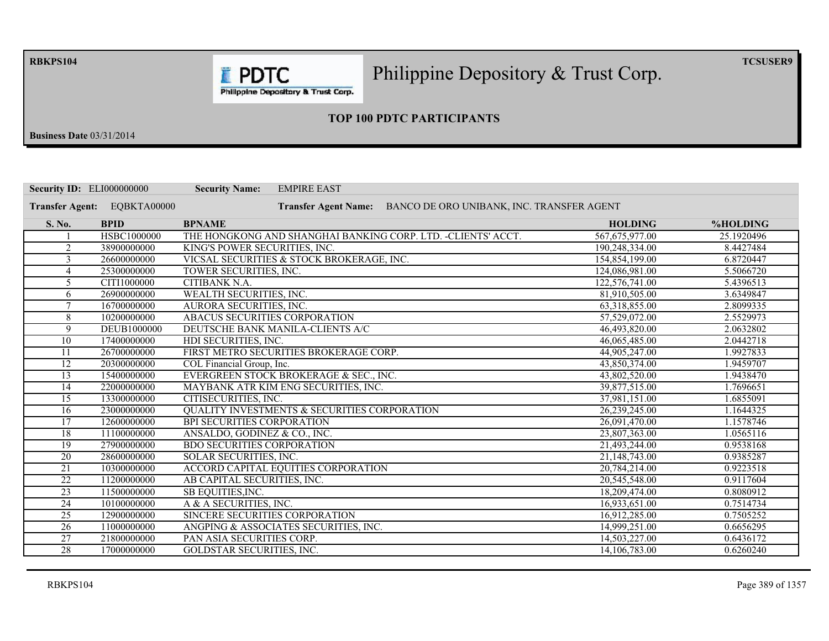**RBKPS104** 

Philippine Depository  $\&$  Trust Corp.

 $TCSUSER9$ 

Philippine Depository & Trust Corp.

**F** PDTC

### **23 TOP 100 PDTC PARTICIPANTS**

**Business Date** 03/31/2014

|                        | <b>Security ID: ELI000000000</b> | <b>Security Name:</b><br><b>EMPIRE EAST</b>                              |                |            |
|------------------------|----------------------------------|--------------------------------------------------------------------------|----------------|------------|
| <b>Transfer Agent:</b> | EQBKTA00000                      | BANCO DE ORO UNIBANK, INC. TRANSFER AGENT<br><b>Transfer Agent Name:</b> |                |            |
| S. No.                 | <b>BPID</b>                      | <b>BPNAME</b>                                                            | <b>HOLDING</b> | %HOLDING   |
|                        | HSBC1000000                      | THE HONGKONG AND SHANGHAI BANKING CORP. LTD. -CLIENTS' ACCT.             | 567,675,977.00 | 25.1920496 |
| $\overline{2}$         | 38900000000                      | KING'S POWER SECURITIES, INC.                                            | 190,248,334.00 | 8.4427484  |
| 3                      | 26600000000                      | VICSAL SECURITIES & STOCK BROKERAGE, INC.                                | 154,854,199.00 | 6.8720447  |
| $\overline{4}$         | 25300000000                      | TOWER SECURITIES, INC.                                                   | 124,086,981.00 | 5.5066720  |
| 5                      | CITI1000000                      | <b>CITIBANK N.A.</b>                                                     | 122,576,741.00 | 5.4396513  |
| 6                      | 26900000000                      | WEALTH SECURITIES, INC.                                                  | 81,910,505.00  | 3.6349847  |
| $\tau$                 | 16700000000                      | AURORA SECURITIES, INC.                                                  | 63,318,855.00  | 2.8099335  |
| 8                      | 10200000000                      | ABACUS SECURITIES CORPORATION                                            | 57,529,072.00  | 2.5529973  |
| 9                      | DEUB1000000                      | DEUTSCHE BANK MANILA-CLIENTS A/C                                         | 46,493,820.00  | 2.0632802  |
| 10                     | 17400000000                      | HDI SECURITIES, INC.                                                     | 46,065,485.00  | 2.0442718  |
| 11                     | 26700000000                      | FIRST METRO SECURITIES BROKERAGE CORP.                                   | 44,905,247.00  | 1.9927833  |
| $\overline{12}$        | 20300000000                      | COL Financial Group, Inc.                                                | 43,850,374.00  | 1.9459707  |
| 13                     | 15400000000                      | EVERGREEN STOCK BROKERAGE & SEC., INC.                                   | 43,802,520.00  | 1.9438470  |
| 14                     | 22000000000                      | MAYBANK ATR KIM ENG SECURITIES, INC.                                     | 39,877,515.00  | 1.7696651  |
| 15                     | 13300000000                      | CITISECURITIES, INC.                                                     | 37,981,151.00  | 1.6855091  |
| 16                     | 23000000000                      | <b>QUALITY INVESTMENTS &amp; SECURITIES CORPORATION</b>                  | 26,239,245.00  | 1.1644325  |
| $\overline{17}$        | 12600000000                      | BPI SECURITIES CORPORATION                                               | 26,091,470.00  | 1.1578746  |
| 18                     | 11100000000                      | ANSALDO, GODINEZ & CO., INC.                                             | 23,807,363.00  | 1.0565116  |
| 19                     | 27900000000                      | <b>BDO SECURITIES CORPORATION</b>                                        | 21,493,244.00  | 0.9538168  |
| 20                     | 28600000000                      | SOLAR SECURITIES, INC.                                                   | 21,148,743.00  | 0.9385287  |
| 21                     | 10300000000                      | <b>ACCORD CAPITAL EQUITIES CORPORATION</b>                               | 20,784,214.00  | 0.9223518  |
| $\overline{22}$        | 11200000000                      | AB CAPITAL SECURITIES, INC.                                              | 20,545,548.00  | 0.9117604  |
| 23                     | 11500000000                      | SB EQUITIES, INC.                                                        | 18,209,474.00  | 0.8080912  |
| $\overline{24}$        | 10100000000                      | A & A SECURITIES, INC.                                                   | 16,933,651.00  | 0.7514734  |
| $\overline{25}$        | 12900000000                      | SINCERE SECURITIES CORPORATION                                           | 16,912,285.00  | 0.7505252  |
| $\overline{26}$        | 11000000000                      | ANGPING & ASSOCIATES SECURITIES, INC.                                    | 14,999,251.00  | 0.6656295  |
| 27                     | 21800000000                      | PAN ASIA SECURITIES CORP.                                                | 14,503,227.00  | 0.6436172  |
| 28                     | 17000000000                      | <b>GOLDSTAR SECURITIES, INC.</b>                                         | 14,106,783.00  | 0.6260240  |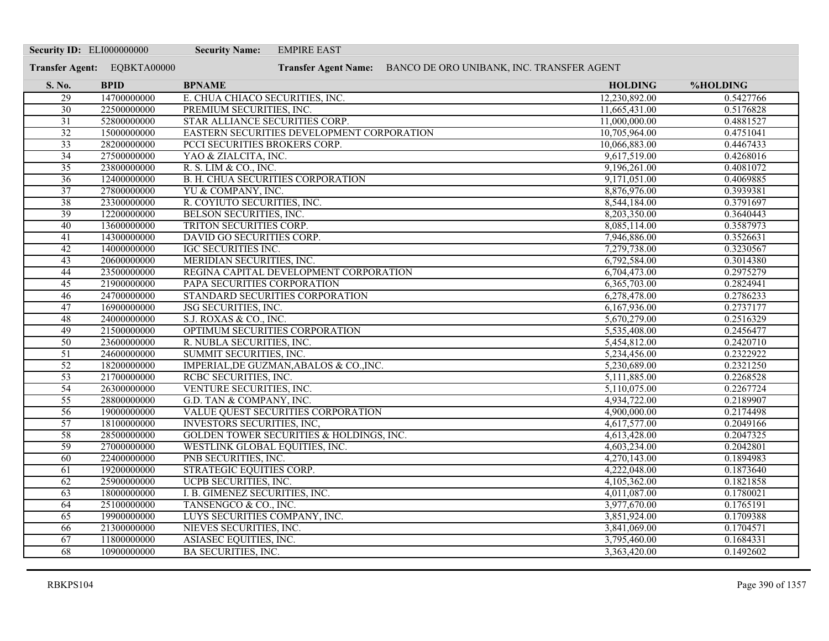| <b>Security ID: ELI000000000</b> |                             | <b>Security Name:</b><br><b>EMPIRE EAST</b>         |                                                                |           |
|----------------------------------|-----------------------------|-----------------------------------------------------|----------------------------------------------------------------|-----------|
|                                  | Transfer Agent: EQBKTA00000 |                                                     | Transfer Agent Name: BANCO DE ORO UNIBANK, INC. TRANSFER AGENT |           |
| S. No.                           | <b>BPID</b>                 | <b>BPNAME</b>                                       | <b>HOLDING</b>                                                 | %HOLDING  |
| 29                               | 14700000000                 | E. CHUA CHIACO SECURITIES, INC.                     | 12,230,892.00                                                  | 0.5427766 |
| $\overline{30}$                  | 22500000000                 | PREMIUM SECURITIES, INC.                            | 11,665,431.00                                                  | 0.5176828 |
| $\overline{31}$                  | 52800000000                 | STAR ALLIANCE SECURITIES CORP.                      | 11,000,000.00                                                  | 0.4881527 |
| 32                               | 15000000000                 | EASTERN SECURITIES DEVELOPMENT CORPORATION          | 10,705,964.00                                                  | 0.4751041 |
| $\overline{33}$                  | 28200000000                 | PCCI SECURITIES BROKERS CORP.                       | 10,066,883.00                                                  | 0.4467433 |
| 34                               | 27500000000                 | YAO & ZIALCITA, INC.                                | 9,617,519.00                                                   | 0.4268016 |
| $\overline{35}$                  | 23800000000                 | R. S. LIM & CO., INC.                               | 9,196,261.00                                                   | 0.4081072 |
| $\overline{36}$                  | 12400000000                 | <b>B. H. CHUA SECURITIES CORPORATION</b>            | 9,171,051.00                                                   | 0.4069885 |
| 37                               | 27800000000                 | YU & COMPANY, INC.                                  | 8,876,976.00                                                   | 0.3939381 |
| 38                               | 23300000000                 | R. COYIUTO SECURITIES, INC.                         | 8,544,184.00                                                   | 0.3791697 |
| $\overline{39}$                  | 12200000000                 | <b>BELSON SECURITIES, INC.</b>                      | 8,203,350.00                                                   | 0.3640443 |
| 40                               | 13600000000                 | TRITON SECURITIES CORP.                             | 8,085,114.00                                                   | 0.3587973 |
| 41                               | 14300000000                 | DAVID GO SECURITIES CORP.                           | 7,946,886.00                                                   | 0.3526631 |
| 42                               | 14000000000                 | <b>IGC SECURITIES INC.</b>                          | 7,279,738.00                                                   | 0.3230567 |
| $\overline{43}$                  | 20600000000                 | MERIDIAN SECURITIES, INC.                           | 6,792,584.00                                                   | 0.3014380 |
| 44                               | 23500000000                 | REGINA CAPITAL DEVELOPMENT CORPORATION              | 6,704,473.00                                                   | 0.2975279 |
| 45                               | 21900000000                 | PAPA SECURITIES CORPORATION                         | 6,365,703.00                                                   | 0.2824941 |
| 46                               | 24700000000                 | STANDARD SECURITIES CORPORATION                     | 6,278,478.00                                                   | 0.2786233 |
| 47                               | 16900000000                 | JSG SECURITIES, INC.                                | 6,167,936.00                                                   | 0.2737177 |
| 48                               | 24000000000                 | S.J. ROXAS & CO., INC.                              | 5,670,279.00                                                   | 0.2516329 |
| 49                               | 21500000000                 | OPTIMUM SECURITIES CORPORATION                      | 5,535,408.00                                                   | 0.2456477 |
| $\overline{50}$                  | 23600000000                 | R. NUBLA SECURITIES, INC.                           | 5,454,812.00                                                   | 0.2420710 |
| $\overline{51}$                  | 24600000000                 | SUMMIT SECURITIES, INC.                             | 5,234,456.00                                                   | 0.2322922 |
| $\overline{52}$                  | 18200000000                 | IMPERIAL, DE GUZMAN, ABALOS & CO., INC.             | 5,230,689.00                                                   | 0.2321250 |
| $\overline{53}$                  | 21700000000                 | RCBC SECURITIES, INC.                               | 5,111,885.00                                                   | 0.2268528 |
| 54                               | 26300000000                 | VENTURE SECURITIES, INC.                            | 5,110,075.00                                                   | 0.2267724 |
| $\overline{55}$                  | 28800000000                 | G.D. TAN & COMPANY, INC.                            | 4,934,722.00                                                   | 0.2189907 |
| 56                               | 19000000000                 | VALUE QUEST SECURITIES CORPORATION                  | 4,900,000.00                                                   | 0.2174498 |
| 57                               | 18100000000                 | <b>INVESTORS SECURITIES, INC,</b>                   | 4,617,577.00                                                   | 0.2049166 |
| $\overline{58}$                  | 28500000000                 | <b>GOLDEN TOWER SECURITIES &amp; HOLDINGS, INC.</b> | 4,613,428.00                                                   | 0.2047325 |
| 59                               | 27000000000                 | WESTLINK GLOBAL EQUITIES, INC.                      | 4,603,234.00                                                   | 0.2042801 |
| 60                               | 22400000000                 | PNB SECURITIES, INC.                                | 4,270,143.00                                                   | 0.1894983 |
| 61                               | 19200000000                 | STRATEGIC EQUITIES CORP.                            | 4,222,048.00                                                   | 0.1873640 |
| 62                               | 25900000000                 | UCPB SECURITIES, INC.                               | 4,105,362.00                                                   | 0.1821858 |
| $\overline{63}$                  | 18000000000                 | I. B. GIMENEZ SECURITIES, INC.                      | 4,011,087.00                                                   | 0.1780021 |
| 64                               | 25100000000                 | TANSENGCO & CO., INC.                               | 3,977,670.00                                                   | 0.1765191 |
| 65                               | 19900000000                 | LUYS SECURITIES COMPANY, INC.                       | 3,851,924.00                                                   | 0.1709388 |
| 66                               | 21300000000                 | NIEVES SECURITIES, INC.                             | 3,841,069.00                                                   | 0.1704571 |
| 67                               | 11800000000                 | ASIASEC EQUITIES, INC.                              | 3,795,460.00                                                   | 0.1684331 |
| 68                               | 10900000000                 | <b>BA SECURITIES, INC.</b>                          | 3,363,420.00                                                   | 0.1492602 |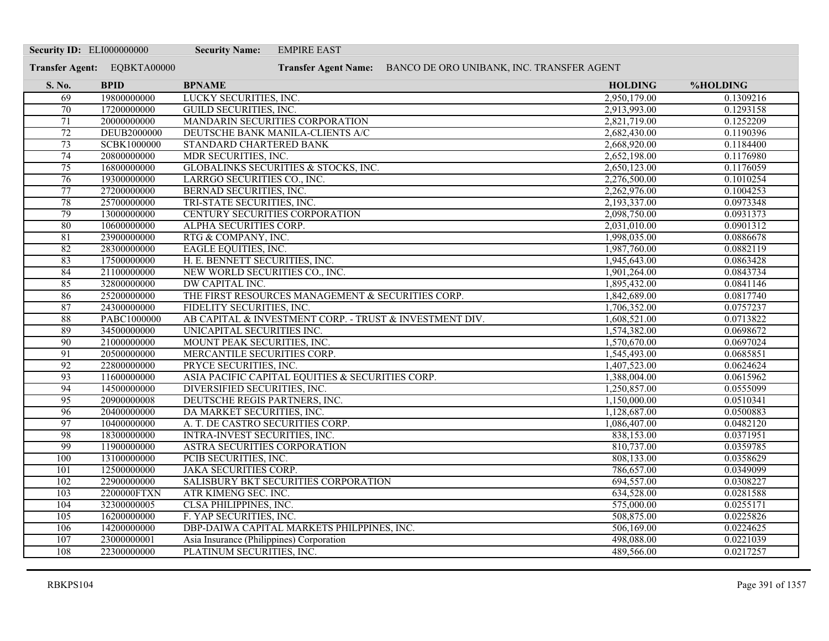| <b>Security ID: ELI000000000</b> |                             | <b>Security Name:</b>                                                    | <b>EMPIRE EAST</b> |                                                                |                            |                        |
|----------------------------------|-----------------------------|--------------------------------------------------------------------------|--------------------|----------------------------------------------------------------|----------------------------|------------------------|
|                                  | Transfer Agent: EQBKTA00000 |                                                                          |                    | Transfer Agent Name: BANCO DE ORO UNIBANK, INC. TRANSFER AGENT |                            |                        |
| S. No.                           | <b>BPID</b>                 | <b>BPNAME</b>                                                            |                    |                                                                | <b>HOLDING</b>             | %HOLDING               |
| 69                               | 19800000000                 | LUCKY SECURITIES, INC.                                                   |                    |                                                                | 2,950,179.00               | 0.1309216              |
| 70                               | 17200000000                 | <b>GUILD SECURITIES, INC.</b>                                            |                    |                                                                | 2,913,993.00               | 0.1293158              |
| 71                               | 20000000000                 | MANDARIN SECURITIES CORPORATION                                          |                    |                                                                | 2,821,719.00               | 0.1252209              |
| 72                               | <b>DEUB2000000</b>          | DEUTSCHE BANK MANILA-CLIENTS A/C                                         |                    |                                                                | 2,682,430.00               | 0.1190396              |
| $\overline{73}$                  | <b>SCBK1000000</b>          | STANDARD CHARTERED BANK                                                  |                    |                                                                | 2,668,920.00               | 0.1184400              |
| 74                               | 20800000000                 | MDR SECURITIES, INC.                                                     |                    |                                                                | 2,652,198.00               | 0.1176980              |
| 75                               | 16800000000                 | GLOBALINKS SECURITIES & STOCKS, INC.                                     |                    |                                                                | 2,650,123.00               | 0.1176059              |
| 76                               | 19300000000                 | LARRGO SECURITIES CO., INC.                                              |                    |                                                                | 2,276,500.00               | 0.1010254              |
| 77                               | 27200000000                 | <b>BERNAD SECURITIES, INC.</b>                                           |                    |                                                                | 2,262,976.00               | 0.1004253              |
| 78                               | 25700000000                 | TRI-STATE SECURITIES, INC.                                               |                    |                                                                | 2,193,337.00               | 0.0973348              |
| 79                               | 13000000000                 | <b>CENTURY SECURITIES CORPORATION</b>                                    |                    |                                                                | 2,098,750.00               | 0.0931373              |
| 80                               | 10600000000                 | ALPHA SECURITIES CORP.                                                   |                    |                                                                | 2,031,010.00               | 0.0901312              |
| 81                               | 23900000000                 | RTG & COMPANY, INC.                                                      |                    |                                                                | 1,998,035.00               | 0.0886678              |
| 82                               | 28300000000                 | <b>EAGLE EQUITIES, INC.</b>                                              |                    |                                                                | 1,987,760.00               | 0.0882119              |
| 83                               | 17500000000                 | H. E. BENNETT SECURITIES, INC.                                           |                    |                                                                | 1,945,643.00               | 0.0863428              |
| 84                               | 21100000000                 | NEW WORLD SECURITIES CO., INC.                                           |                    |                                                                | 1,901,264.00               | 0.0843734              |
| 85                               | 32800000000                 | <b>DW CAPITAL INC.</b>                                                   |                    |                                                                | 1,895,432.00               | 0.0841146              |
| 86                               | 25200000000                 | THE FIRST RESOURCES MANAGEMENT & SECURITIES CORP.                        |                    |                                                                | 1,842,689.00               | 0.0817740              |
| 87                               | 24300000000                 | FIDELITY SECURITIES, INC.                                                |                    |                                                                | 1,706,352.00               | 0.0757237              |
| 88                               | PABC1000000                 | AB CAPITAL & INVESTMENT CORP. - TRUST & INVESTMENT DIV.                  |                    |                                                                | 1,608,521.00               | 0.0713822              |
| 89                               | 34500000000                 | UNICAPITAL SECURITIES INC.                                               |                    |                                                                | 1,574,382.00               | 0.0698672              |
| 90                               | 21000000000                 | MOUNT PEAK SECURITIES, INC.                                              |                    |                                                                | 1,570,670.00               | 0.0697024              |
| 91                               | 20500000000                 | MERCANTILE SECURITIES CORP.                                              |                    |                                                                | 1,545,493.00               | 0.0685851              |
| $\overline{92}$                  | 22800000000                 | PRYCE SECURITIES, INC.                                                   |                    |                                                                | 1,407,523.00               | 0.0624624              |
| 93                               | 11600000000                 | ASIA PACIFIC CAPITAL EQUITIES & SECURITIES CORP.                         |                    |                                                                | 1,388,004.00               | 0.0615962              |
| 94                               | 14500000000                 | DIVERSIFIED SECURITIES, INC.                                             |                    |                                                                | 1,250,857.00               | 0.0555099              |
| $\overline{95}$                  | 20900000008                 | DEUTSCHE REGIS PARTNERS, INC.                                            |                    |                                                                | 1,150,000.00               | 0.0510341              |
| 96                               | 20400000000                 | DA MARKET SECURITIES, INC.                                               |                    |                                                                | 1,128,687.00               | 0.0500883              |
| 97<br>98                         | 10400000000<br>18300000000  | A. T. DE CASTRO SECURITIES CORP.<br><b>INTRA-INVEST SECURITIES, INC.</b> |                    |                                                                | 1,086,407.00<br>838,153.00 | 0.0482120<br>0.0371951 |
| 99                               | 11900000000                 | ASTRA SECURITIES CORPORATION                                             |                    |                                                                | 810,737.00                 | 0.0359785              |
| 100                              | 13100000000                 | PCIB SECURITIES, INC.                                                    |                    |                                                                | 808,133.00                 | 0.0358629              |
| 101                              | 12500000000                 | <b>JAKA SECURITIES CORP.</b>                                             |                    |                                                                | 786,657.00                 | 0.0349099              |
| 102                              | 22900000000                 | SALISBURY BKT SECURITIES CORPORATION                                     |                    |                                                                | 694,557.00                 | 0.0308227              |
| 103                              | 2200000FTXN                 | ATR KIMENG SEC. INC.                                                     |                    |                                                                | 634,528.00                 | 0.0281588              |
| 104                              | 32300000005                 | <b>CLSA PHILIPPINES, INC.</b>                                            |                    |                                                                | 575,000.00                 | 0.0255171              |
| 105                              | 16200000000                 | F. YAP SECURITIES, INC.                                                  |                    |                                                                | 508,875.00                 | 0.0225826              |
| 106                              | 14200000000                 | DBP-DAIWA CAPITAL MARKETS PHILPPINES, INC.                               |                    |                                                                | 506,169.00                 | 0.0224625              |
| 107                              | 23000000001                 | Asia Insurance (Philippines) Corporation                                 |                    |                                                                | 498,088.00                 | 0.0221039              |
| 108                              | 22300000000                 | PLATINUM SECURITIES, INC.                                                |                    |                                                                | 489,566.00                 | 0.0217257              |
|                                  |                             |                                                                          |                    |                                                                |                            |                        |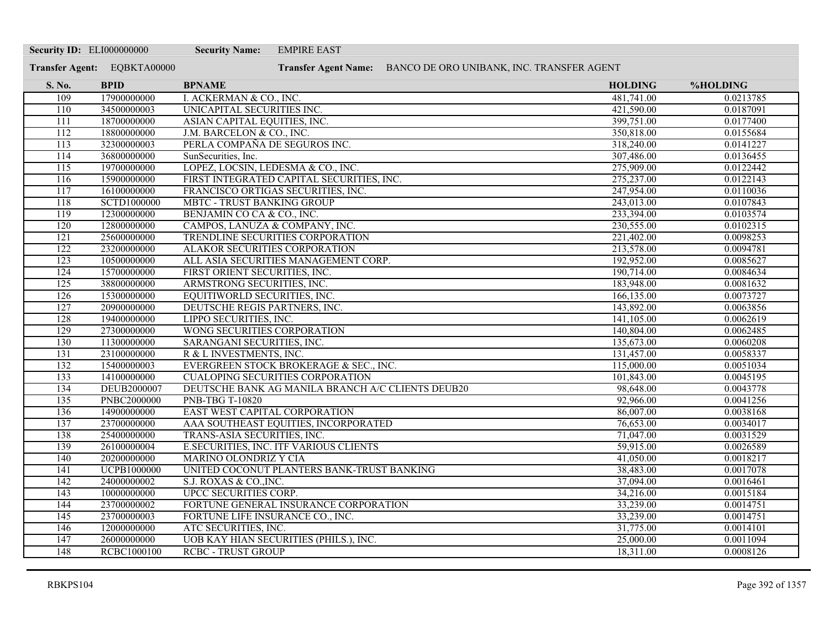| <b>Security ID: ELI000000000</b> |                             | <b>Security Name:</b>              | <b>EMPIRE EAST</b>                                             |                |           |
|----------------------------------|-----------------------------|------------------------------------|----------------------------------------------------------------|----------------|-----------|
|                                  | Transfer Agent: EQBKTA00000 |                                    | Transfer Agent Name: BANCO DE ORO UNIBANK, INC. TRANSFER AGENT |                |           |
| S. No.                           | <b>BPID</b>                 | <b>BPNAME</b>                      |                                                                | <b>HOLDING</b> | %HOLDING  |
| 109                              | 17900000000                 | I. ACKERMAN & CO., INC.            |                                                                | 481,741.00     | 0.0213785 |
| 110                              | 34500000003                 | UNICAPITAL SECURITIES INC.         |                                                                | 421,590.00     | 0.0187091 |
| 111                              | 18700000000                 | ASIAN CAPITAL EQUITIES, INC.       |                                                                | 399,751.00     | 0.0177400 |
| 112                              | 18800000000                 | J.M. BARCELON & CO., INC.          |                                                                | 350,818.00     | 0.0155684 |
| 113                              | 32300000003                 | PERLA COMPAÑA DE SEGUROS INC.      |                                                                | 318,240.00     | 0.0141227 |
| 114                              | 36800000000                 | SunSecurities, Inc.                |                                                                | 307,486.00     | 0.0136455 |
| 115                              | 19700000000                 | LOPEZ, LOCSIN, LEDESMA & CO., INC. |                                                                | 275,909.00     | 0.0122442 |
| 116                              | 15900000000                 |                                    | FIRST INTEGRATED CAPITAL SECURITIES, INC.                      | 275,237.00     | 0.0122143 |
| 117                              | 16100000000                 |                                    | FRANCISCO ORTIGAS SECURITIES, INC.                             | 247,954.00     | 0.0110036 |
| 118                              | SCTD1000000                 | <b>MBTC - TRUST BANKING GROUP</b>  |                                                                | 243,013.00     | 0.0107843 |
| 119                              | 12300000000                 | BENJAMIN CO CA & CO., INC.         |                                                                | 233,394.00     | 0.0103574 |
| 120                              | 12800000000                 | CAMPOS, LANUZA & COMPANY, INC.     |                                                                | 230,555.00     | 0.0102315 |
| 121                              | 25600000000                 |                                    | TRENDLINE SECURITIES CORPORATION                               | 221,402.00     | 0.0098253 |
| $\overline{122}$                 | 23200000000                 | ALAKOR SECURITIES CORPORATION      |                                                                | 213,578.00     | 0.0094781 |
| 123                              | 10500000000                 |                                    | ALL ASIA SECURITIES MANAGEMENT CORP.                           | 192,952.00     | 0.0085627 |
| $\overline{124}$                 | 15700000000                 | FIRST ORIENT SECURITIES, INC.      |                                                                | 190,714.00     | 0.0084634 |
| 125                              | 38800000000                 | ARMSTRONG SECURITIES, INC.         |                                                                | 183,948.00     | 0.0081632 |
| 126                              | 15300000000                 | EQUITIWORLD SECURITIES, INC.       |                                                                | 166,135.00     | 0.0073727 |
| 127                              | 20900000000                 | DEUTSCHE REGIS PARTNERS, INC.      |                                                                | 143,892.00     | 0.0063856 |
| 128                              | 19400000000                 | LIPPO SECURITIES, INC.             |                                                                | 141,105.00     | 0.0062619 |
| 129                              | 27300000000                 | WONG SECURITIES CORPORATION        |                                                                | 140,804.00     | 0.0062485 |
| 130                              | 11300000000                 | SARANGANI SECURITIES, INC.         |                                                                | 135,673.00     | 0.0060208 |
| 131                              | 23100000000                 | R & L INVESTMENTS, INC.            |                                                                | 131,457.00     | 0.0058337 |
| 132                              | 15400000003                 |                                    | EVERGREEN STOCK BROKERAGE & SEC., INC.                         | 115,000.00     | 0.0051034 |
| 133                              | 14100000000                 |                                    | <b>CUALOPING SECURITIES CORPORATION</b>                        | 101,843.00     | 0.0045195 |
| 134                              | DEUB2000007                 |                                    | DEUTSCHE BANK AG MANILA BRANCH A/C CLIENTS DEUB20              | 98,648.00      | 0.0043778 |
| 135                              | <b>PNBC2000000</b>          | <b>PNB-TBG T-10820</b>             |                                                                | 92,966.00      | 0.0041256 |
| 136                              | 14900000000                 | EAST WEST CAPITAL CORPORATION      |                                                                | 86,007.00      | 0.0038168 |
| 137                              | 23700000000                 |                                    | AAA SOUTHEAST EQUITIES, INCORPORATED                           | 76,653.00      | 0.0034017 |
| 138                              | 25400000000                 | TRANS-ASIA SECURITIES, INC.        |                                                                | 71,047.00      | 0.0031529 |
| 139                              | 26100000004                 |                                    | E.SECURITIES, INC. ITF VARIOUS CLIENTS                         | 59,915.00      | 0.0026589 |
| 140                              | 20200000000                 | <b>MARINO OLONDRIZ Y CIA</b>       |                                                                | 41,050.00      | 0.0018217 |
| 141                              | <b>UCPB1000000</b>          |                                    | UNITED COCONUT PLANTERS BANK-TRUST BANKING                     | 38,483.00      | 0.0017078 |
| 142                              | 24000000002                 | S.J. ROXAS & CO., INC.             |                                                                | 37,094.00      | 0.0016461 |
| 143                              | 10000000000                 | UPCC SECURITIES CORP.              |                                                                | 34,216.00      | 0.0015184 |
| 144                              | 23700000002                 |                                    | FORTUNE GENERAL INSURANCE CORPORATION                          | 33,239.00      | 0.0014751 |
| 145                              | 23700000003                 | FORTUNE LIFE INSURANCE CO., INC.   |                                                                | 33,239.00      | 0.0014751 |
| 146                              | 12000000000                 | ATC SECURITIES, INC.               |                                                                | 31,775.00      | 0.0014101 |
| 147                              | 26000000000                 |                                    | UOB KAY HIAN SECURITIES (PHILS.), INC.                         | 25,000.00      | 0.0011094 |
| 148                              | <b>RCBC1000100</b>          | <b>RCBC - TRUST GROUP</b>          |                                                                | 18,311.00      | 0.0008126 |